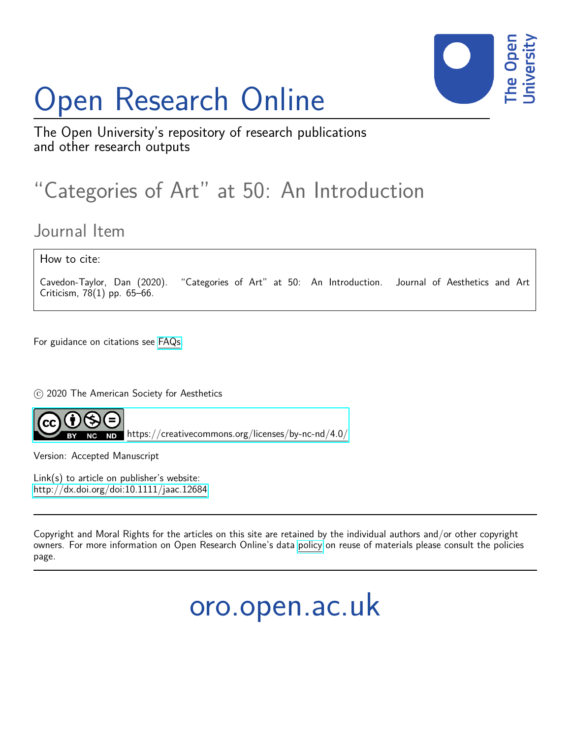## Open Research Online



The Open University's repository of research publications and other research outputs

## "Categories of Art" at 50: An Introduction

Journal Item

How to cite:

Cavedon-Taylor, Dan (2020). "Categories of Art" at 50: An Introduction. Journal of Aesthetics and Art Criticism, 78(1) pp. 65–66.

For guidance on citations see [FAQs.](http://oro.open.ac.uk/help/helpfaq.html)

c 2020 The American Society for Aesthetics



<https://creativecommons.org/licenses/by-nc-nd/4.0/>

Version: Accepted Manuscript

Link(s) to article on publisher's website: <http://dx.doi.org/doi:10.1111/jaac.12684>

Copyright and Moral Rights for the articles on this site are retained by the individual authors and/or other copyright owners. For more information on Open Research Online's data [policy](http://oro.open.ac.uk/policies.html) on reuse of materials please consult the policies page.

oro.open.ac.uk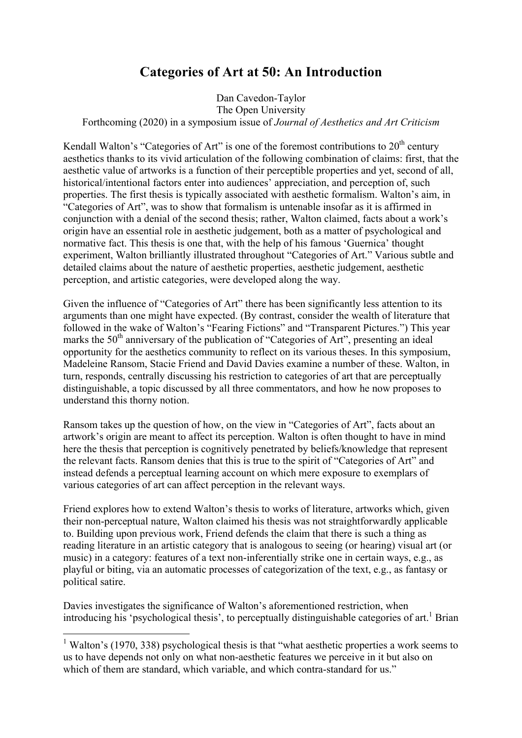## **Categories of Art at 50: An Introduction**

Dan Cavedon-Taylor The Open University Forthcoming (2020) in a symposium issue of *Journal of Aesthetics and Art Criticism*

Kendall Walton's "Categories of Art" is one of the foremost contributions to  $20<sup>th</sup>$  century aesthetics thanks to its vivid articulation of the following combination of claims: first, that the aesthetic value of artworks is a function of their perceptible properties and yet, second of all, historical/intentional factors enter into audiences' appreciation, and perception of, such properties. The first thesis is typically associated with aesthetic formalism. Walton's aim, in "Categories of Art", was to show that formalism is untenable insofar as it is affirmed in conjunction with a denial of the second thesis; rather, Walton claimed, facts about a work's origin have an essential role in aesthetic judgement, both as a matter of psychological and normative fact. This thesis is one that, with the help of his famous 'Guernica' thought experiment, Walton brilliantly illustrated throughout "Categories of Art." Various subtle and detailed claims about the nature of aesthetic properties, aesthetic judgement, aesthetic perception, and artistic categories, were developed along the way.

Given the influence of "Categories of Art" there has been significantly less attention to its arguments than one might have expected. (By contrast, consider the wealth of literature that followed in the wake of Walton's "Fearing Fictions" and "Transparent Pictures.") This year marks the  $50<sup>th</sup>$  anniversary of the publication of "Categories of Art", presenting an ideal opportunity for the aesthetics community to reflect on its various theses. In this symposium, Madeleine Ransom, Stacie Friend and David Davies examine a number of these. Walton, in turn, responds, centrally discussing his restriction to categories of art that are perceptually distinguishable, a topic discussed by all three commentators, and how he now proposes to understand this thorny notion.

Ransom takes up the question of how, on the view in "Categories of Art", facts about an artwork's origin are meant to affect its perception. Walton is often thought to have in mind here the thesis that perception is cognitively penetrated by beliefs/knowledge that represent the relevant facts. Ransom denies that this is true to the spirit of "Categories of Art" and instead defends a perceptual learning account on which mere exposure to exemplars of various categories of art can affect perception in the relevant ways.

Friend explores how to extend Walton's thesis to works of literature, artworks which, given their non-perceptual nature, Walton claimed his thesis was not straightforwardly applicable to. Building upon previous work, Friend defends the claim that there is such a thing as reading literature in an artistic category that is analogous to seeing (or hearing) visual art (or music) in a category: features of a text non-inferentially strike one in certain ways, e.g., as playful or biting, via an automatic processes of categorization of the text, e.g., as fantasy or political satire.

Davies investigates the significance of Walton's aforementioned restriction, when introducing his 'psychological thesis', to perceptually distinguishable categories of art.<sup>1</sup> Brian

<sup>&</sup>lt;sup>1</sup> Walton's (1970, 338) psychological thesis is that "what aesthetic properties a work seems to us to have depends not only on what non-aesthetic features we perceive in it but also on which of them are standard, which variable, and which contra-standard for us."